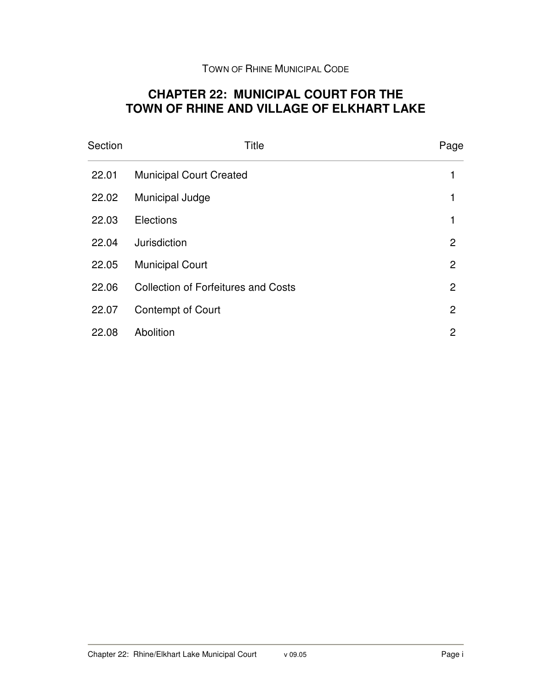# **CHAPTER 22: MUNICIPAL COURT FOR THE TOWN OF RHINE AND VILLAGE OF ELKHART LAKE**

| Section | <b>Title</b>                               | Page           |
|---------|--------------------------------------------|----------------|
| 22.01   | <b>Municipal Court Created</b>             | 1              |
| 22.02   | Municipal Judge                            | 1              |
| 22.03   | Elections                                  | 1              |
| 22.04   | Jurisdiction                               | 2              |
| 22.05   | <b>Municipal Court</b>                     | $\overline{2}$ |
| 22.06   | <b>Collection of Forfeitures and Costs</b> | $\overline{2}$ |
| 22.07   | <b>Contempt of Court</b>                   | $\overline{2}$ |
| 22.08   | Abolition                                  | $\overline{2}$ |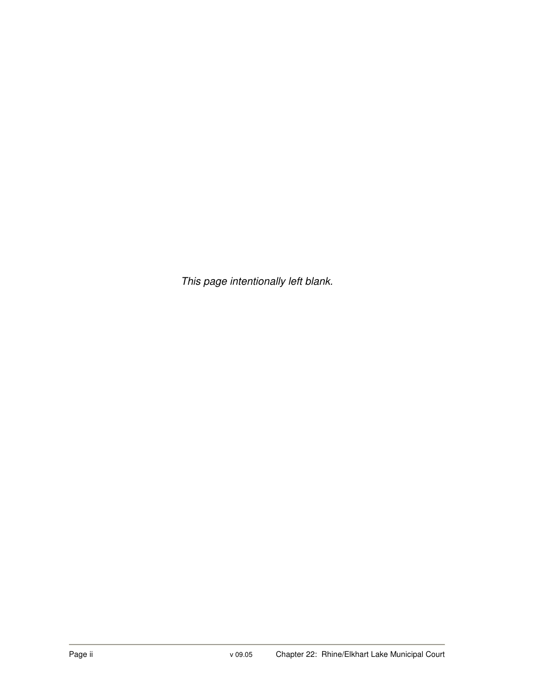This page intentionally left blank.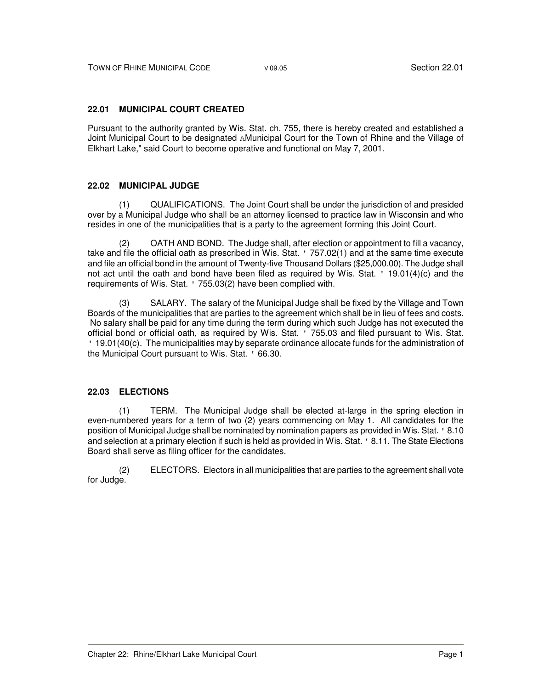# **22.01 MUNICIPAL COURT CREATED**

Pursuant to the authority granted by Wis. Stat. ch. 755, there is hereby created and established a Joint Municipal Court to be designated AMunicipal Court for the Town of Rhine and the Village of Elkhart Lake," said Court to become operative and functional on May 7, 2001.

# **22.02 MUNICIPAL JUDGE**

(1) QUALIFICATIONS. The Joint Court shall be under the jurisdiction of and presided over by a Municipal Judge who shall be an attorney licensed to practice law in Wisconsin and who resides in one of the municipalities that is a party to the agreement forming this Joint Court.

(2) OATH AND BOND. The Judge shall, after election or appointment to fill a vacancy, take and file the official oath as prescribed in Wis. Stat. ' 757.02(1) and at the same time execute and file an official bond in the amount of Twenty-five Thousand Dollars (\$25,000.00). The Judge shall not act until the oath and bond have been filed as required by Wis. Stat. ' 19.01(4)(c) and the requirements of Wis. Stat. ' 755.03(2) have been complied with.

(3) SALARY. The salary of the Municipal Judge shall be fixed by the Village and Town Boards of the municipalities that are parties to the agreement which shall be in lieu of fees and costs. No salary shall be paid for any time during the term during which such Judge has not executed the official bond or official oath, as required by Wis. Stat. ' 755.03 and filed pursuant to Wis. Stat. ' 19.01(40(c). The municipalities may by separate ordinance allocate funds for the administration of the Municipal Court pursuant to Wis. Stat. ' 66.30.

# **22.03 ELECTIONS**

(1) TERM. The Municipal Judge shall be elected at-large in the spring election in even-numbered years for a term of two (2) years commencing on May 1. All candidates for the position of Municipal Judge shall be nominated by nomination papers as provided in Wis. Stat. ' 8.10 and selection at a primary election if such is held as provided in Wis. Stat. ' 8.11. The State Elections Board shall serve as filing officer for the candidates.

(2) ELECTORS. Electors in all municipalities that are parties to the agreement shall vote for Judge.